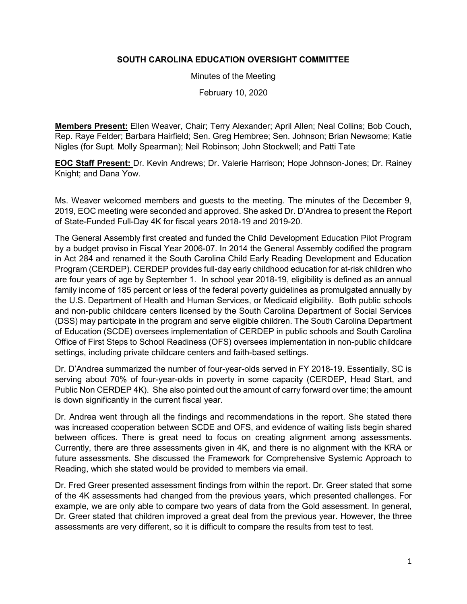## **SOUTH CAROLINA EDUCATION OVERSIGHT COMMITTEE**

Minutes of the Meeting

February 10, 2020

**Members Present:** Ellen Weaver, Chair; Terry Alexander; April Allen; Neal Collins; Bob Couch, Rep. Raye Felder; Barbara Hairfield; Sen. Greg Hembree; Sen. Johnson; Brian Newsome; Katie Nigles (for Supt. Molly Spearman); Neil Robinson; John Stockwell; and Patti Tate

**EOC Staff Present:** Dr. Kevin Andrews; Dr. Valerie Harrison; Hope Johnson-Jones; Dr. Rainey Knight; and Dana Yow.

Ms. Weaver welcomed members and guests to the meeting. The minutes of the December 9, 2019, EOC meeting were seconded and approved. She asked Dr. D'Andrea to present the Report of State-Funded Full-Day 4K for fiscal years 2018-19 and 2019-20.

The General Assembly first created and funded the Child Development Education Pilot Program by a budget proviso in Fiscal Year 2006-07. In 2014 the General Assembly codified the program in Act 284 and renamed it the South Carolina Child Early Reading Development and Education Program (CERDEP). CERDEP provides full-day early childhood education for at-risk children who are four years of age by September 1. In school year 2018-19, eligibility is defined as an annual family income of 185 percent or less of the federal poverty guidelines as promulgated annually by the U.S. Department of Health and Human Services, or Medicaid eligibility. Both public schools and non-public childcare centers licensed by the South Carolina Department of Social Services (DSS) may participate in the program and serve eligible children. The South Carolina Department of Education (SCDE) oversees implementation of CERDEP in public schools and South Carolina Office of First Steps to School Readiness (OFS) oversees implementation in non-public childcare settings, including private childcare centers and faith-based settings.

Dr. D'Andrea summarized the number of four-year-olds served in FY 2018-19. Essentially, SC is serving about 70% of four-year-olds in poverty in some capacity (CERDEP, Head Start, and Public Non CERDEP 4K). She also pointed out the amount of carry forward over time; the amount is down significantly in the current fiscal year.

Dr. Andrea went through all the findings and recommendations in the report. She stated there was increased cooperation between SCDE and OFS, and evidence of waiting lists begin shared between offices. There is great need to focus on creating alignment among assessments. Currently, there are three assessments given in 4K, and there is no alignment with the KRA or future assessments. She discussed the Framework for Comprehensive Systemic Approach to Reading, which she stated would be provided to members via email.

Dr. Fred Greer presented assessment findings from within the report. Dr. Greer stated that some of the 4K assessments had changed from the previous years, which presented challenges. For example, we are only able to compare two years of data from the Gold assessment. In general, Dr. Greer stated that children improved a great deal from the previous year. However, the three assessments are very different, so it is difficult to compare the results from test to test.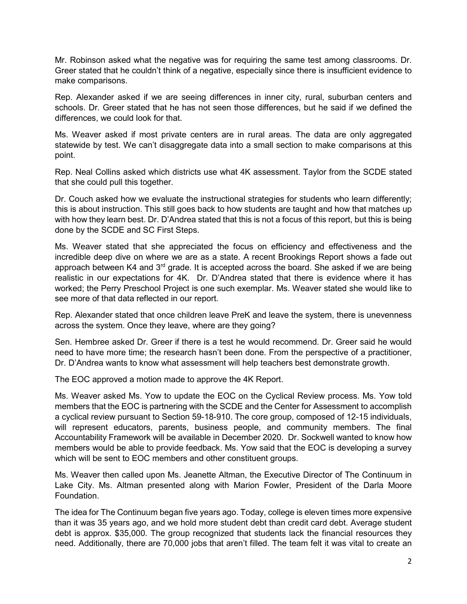Mr. Robinson asked what the negative was for requiring the same test among classrooms. Dr. Greer stated that he couldn't think of a negative, especially since there is insufficient evidence to make comparisons.

Rep. Alexander asked if we are seeing differences in inner city, rural, suburban centers and schools. Dr. Greer stated that he has not seen those differences, but he said if we defined the differences, we could look for that.

Ms. Weaver asked if most private centers are in rural areas. The data are only aggregated statewide by test. We can't disaggregate data into a small section to make comparisons at this point.

Rep. Neal Collins asked which districts use what 4K assessment. Taylor from the SCDE stated that she could pull this together.

Dr. Couch asked how we evaluate the instructional strategies for students who learn differently; this is about instruction. This still goes back to how students are taught and how that matches up with how they learn best. Dr. D'Andrea stated that this is not a focus of this report, but this is being done by the SCDE and SC First Steps.

Ms. Weaver stated that she appreciated the focus on efficiency and effectiveness and the incredible deep dive on where we are as a state. A recent Brookings Report shows a fade out approach between K4 and 3<sup>rd</sup> grade. It is accepted across the board. She asked if we are being realistic in our expectations for 4K. Dr. D'Andrea stated that there is evidence where it has worked; the Perry Preschool Project is one such exemplar. Ms. Weaver stated she would like to see more of that data reflected in our report.

Rep. Alexander stated that once children leave PreK and leave the system, there is unevenness across the system. Once they leave, where are they going?

Sen. Hembree asked Dr. Greer if there is a test he would recommend. Dr. Greer said he would need to have more time; the research hasn't been done. From the perspective of a practitioner, Dr. D'Andrea wants to know what assessment will help teachers best demonstrate growth.

The EOC approved a motion made to approve the 4K Report.

Ms. Weaver asked Ms. Yow to update the EOC on the Cyclical Review process. Ms. Yow told members that the EOC is partnering with the SCDE and the Center for Assessment to accomplish a cyclical review pursuant to Section 59-18-910. The core group, composed of 12-15 individuals, will represent educators, parents, business people, and community members. The final Accountability Framework will be available in December 2020. Dr. Sockwell wanted to know how members would be able to provide feedback. Ms. Yow said that the EOC is developing a survey which will be sent to EOC members and other constituent groups.

Ms. Weaver then called upon Ms. Jeanette Altman, the Executive Director of The Continuum in Lake City. Ms. Altman presented along with Marion Fowler, President of the Darla Moore Foundation.

The idea for The Continuum began five years ago. Today, college is eleven times more expensive than it was 35 years ago, and we hold more student debt than credit card debt. Average student debt is approx. \$35,000. The group recognized that students lack the financial resources they need. Additionally, there are 70,000 jobs that aren't filled. The team felt it was vital to create an